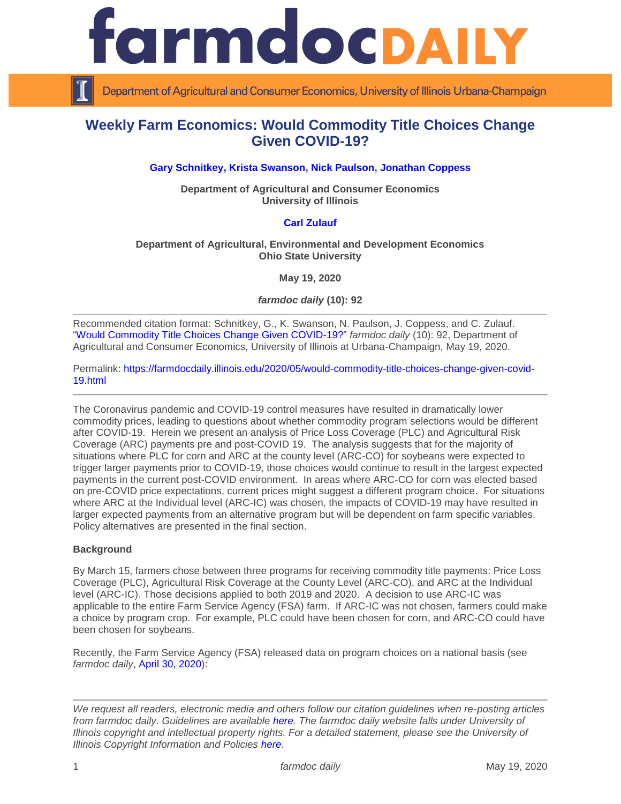

Department of Agricultural and Consumer Economics, University of Illinois Urbana-Champaign

# **Weekly Farm Economics: Would Commodity Title Choices Change Given COVID-19?**

## **[Gary Schnitkey,](https://ace.illinois.edu/directory/schnitke) [Krista Swanson,](https://ace.illinois.edu/directory/krista) [Nick Paulson,](https://ace.illinois.edu/directory/npaulson) [Jonathan Coppess](https://ace.illinois.edu/directory/jwcoppes)**

**Department of Agricultural and Consumer Economics University of Illinois**

## **[Carl Zulauf](http://aede.osu.edu/our-people/carl-zulauf)**

#### **Department of Agricultural, Environmental and Development Economics Ohio State University**

**May 19, 2020**

*farmdoc daily* **(10): 92**

Recommended citation format: Schnitkey, G., K. Swanson, N. Paulson, J. Coppess, and C. Zulauf. ["Would Commodity Title Choices Change Given COVID-19?"](https://farmdocdaily.illinois.edu/2020/05/would-commodity-title-choices-change-given-covid-19.html) *farmdoc daily* (10): 92, Department of Agricultural and Consumer Economics, University of Illinois at Urbana-Champaign, May 19, 2020.

Permalink: [https://farmdocdaily.illinois.edu/2020/05/would-commodity-title-choices-change-given-covid-](https://farmdocdaily.illinois.edu/2020/05/would-commodity-title-choices-change-given-covid-19.html)[19.html](https://farmdocdaily.illinois.edu/2020/05/would-commodity-title-choices-change-given-covid-19.html)

The Coronavirus pandemic and COVID-19 control measures have resulted in dramatically lower commodity prices, leading to questions about whether commodity program selections would be different after COVID-19. Herein we present an analysis of Price Loss Coverage (PLC) and Agricultural Risk Coverage (ARC) payments pre and post-COVID 19. The analysis suggests that for the majority of situations where PLC for corn and ARC at the county level (ARC-CO) for soybeans were expected to trigger larger payments prior to COVID-19, those choices would continue to result in the largest expected payments in the current post-COVID environment. In areas where ARC-CO for corn was elected based on pre-COVID price expectations, current prices might suggest a different program choice. For situations where ARC at the Individual level (ARC-IC) was chosen, the impacts of COVID-19 may have resulted in larger expected payments from an alternative program but will be dependent on farm specific variables. Policy alternatives are presented in the final section.

### **Background**

By March 15, farmers chose between three programs for receiving commodity title payments: Price Loss Coverage (PLC), Agricultural Risk Coverage at the County Level (ARC-CO), and ARC at the Individual level (ARC-IC). Those decisions applied to both 2019 and 2020. A decision to use ARC-IC was applicable to the entire Farm Service Agency (FSA) farm. If ARC-IC was not chosen, farmers could make a choice by program crop. For example, PLC could have been chosen for corn, and ARC-CO could have been chosen for soybeans.

Recently, the Farm Service Agency (FSA) released data on program choices on a national basis (see *farmdoc daily*, [April 30, 2020\)](https://farmdocdaily.illinois.edu/2020/04/farm-program-update-arc-plc-enrollment.html):

*We request all readers, electronic media and others follow our citation guidelines when re-posting articles from farmdoc daily. Guidelines are available [here.](http://farmdocdaily.illinois.edu/citationguide.html) The farmdoc daily website falls under University of Illinois copyright and intellectual property rights. For a detailed statement, please see the University of Illinois Copyright Information and Policies [here.](http://www.cio.illinois.edu/policies/copyright/)*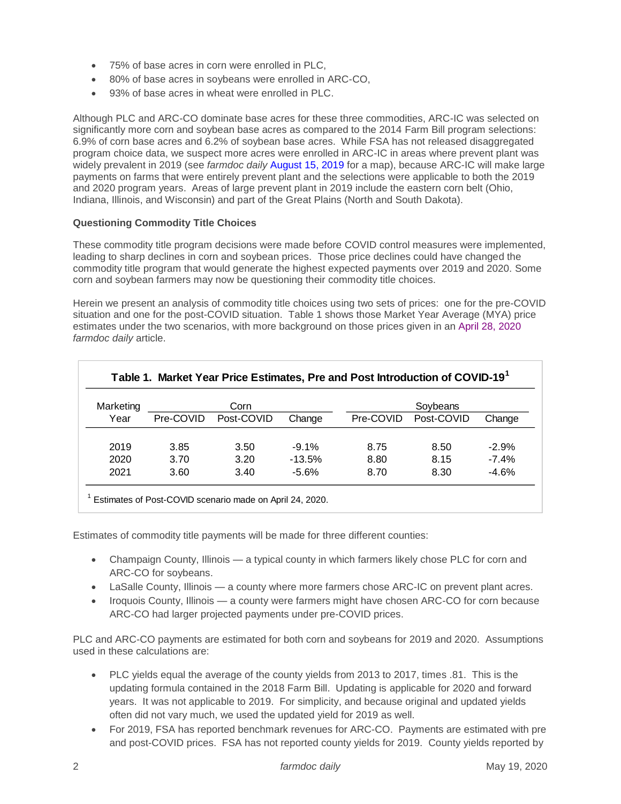- 75% of base acres in corn were enrolled in PLC,
- 80% of base acres in soybeans were enrolled in ARC-CO,
- 93% of base acres in wheat were enrolled in PLC.

Although PLC and ARC-CO dominate base acres for these three commodities, ARC-IC was selected on significantly more corn and soybean base acres as compared to the 2014 Farm Bill program selections: 6.9% of corn base acres and 6.2% of soybean base acres. While FSA has not released disaggregated program choice data, we suspect more acres were enrolled in ARC-IC in areas where prevent plant was widely prevalent in 2019 (see *farmdoc daily* [August 15, 2019](https://farmdocdaily.illinois.edu/2019/08/perspectives-on-2019-corn-and-soybean-acres-impact-of-prevent-plant.html) for a map), because ARC-IC will make large payments on farms that were entirely prevent plant and the selections were applicable to both the 2019 and 2020 program years. Areas of large prevent plant in 2019 include the eastern corn belt (Ohio, Indiana, Illinois, and Wisconsin) and part of the Great Plains (North and South Dakota).

# **Questioning Commodity Title Choices**

These commodity title program decisions were made before COVID control measures were implemented, leading to sharp declines in corn and soybean prices. Those price declines could have changed the commodity title program that would generate the highest expected payments over 2019 and 2020. Some corn and soybean farmers may now be questioning their commodity title choices.

Herein we present an analysis of commodity title choices using two sets of prices: one for the pre-COVID situation and one for the post-COVID situation. Table 1 shows those Market Year Average (MYA) price estimates under the two scenarios, with more background on those prices given in an [April 28,](https://farmdocdaily.illinois.edu/2020/04/estimates-of-mya-prices-for-2019-thorough-2021-pre-and-post-covid-19-corn-and-soybeans.html) 2020 *farmdoc daily* article.

| Marketing |           | Corn       |          | Soybeans  |            |          |  |
|-----------|-----------|------------|----------|-----------|------------|----------|--|
| Year      | Pre-COVID | Post-COVID | Change   | Pre-COVID | Post-COVID | Change   |  |
| 2019      | 3.85      | 3.50       | $-9.1%$  | 8.75      | 8.50       | $-2.9%$  |  |
| 2020      | 3.70      | 3.20       | $-13.5%$ | 8.80      | 8.15       | $-7.4\%$ |  |
| 2021      | 3.60      | 3.40       | $-5.6%$  | 8.70      | 8.30       | $-4.6%$  |  |

Estimates of commodity title payments will be made for three different counties:

- Champaign County, Illinois a typical county in which farmers likely chose PLC for corn and ARC-CO for soybeans.
- LaSalle County, Illinois a county where more farmers chose ARC-IC on prevent plant acres.
- Iroquois County, Illinois a county were farmers might have chosen ARC-CO for corn because ARC-CO had larger projected payments under pre-COVID prices.

PLC and ARC-CO payments are estimated for both corn and soybeans for 2019 and 2020. Assumptions used in these calculations are:

- PLC yields equal the average of the county yields from 2013 to 2017, times .81. This is the updating formula contained in the 2018 Farm Bill. Updating is applicable for 2020 and forward years. It was not applicable to 2019. For simplicity, and because original and updated yields often did not vary much, we used the updated yield for 2019 as well.
- For 2019, FSA has reported benchmark revenues for ARC-CO. Payments are estimated with pre and post-COVID prices. FSA has not reported county yields for 2019. County yields reported by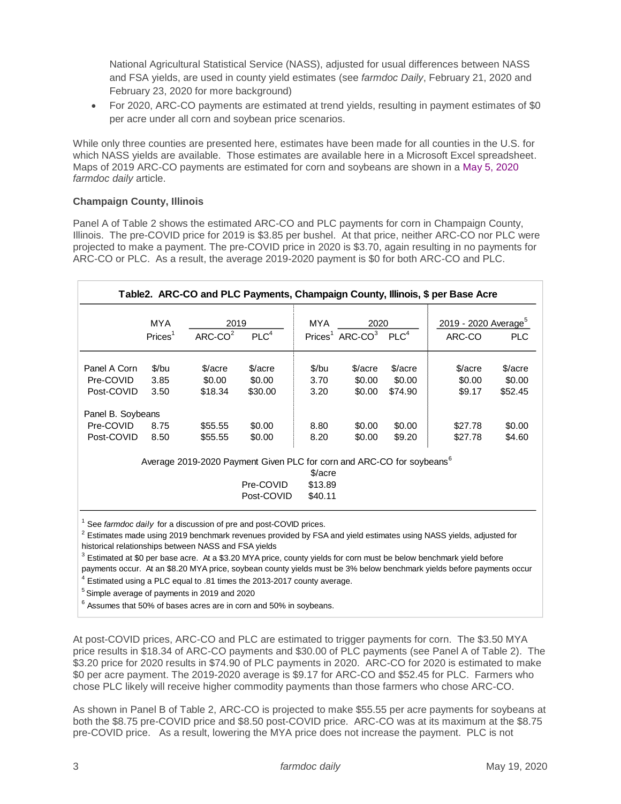National Agricultural Statistical Service (NASS), adjusted for usual differences between NASS and FSA yields, are used in county yield estimates (see *farmdoc Daily*, February 21, 2020 and February 23, 2020 for more background)

 For 2020, ARC-CO payments are estimated at trend yields, resulting in payment estimates of \$0 per acre under all corn and soybean price scenarios.

While only three counties are presented here, estimates have been made for all counties in the U.S. for which NASS yields are available. Those estimates are available here in a Microsoft Excel spreadsheet. Maps of 2019 ARC-CO payments are estimated for corn and soybeans are shown in a [May 5, 2020](https://farmdocdaily.illinois.edu/2020/05/2019-commodity-title-payments-updates-for-corn-and-soybeans-with-lower-mya-prices.html) *farmdoc daily* article.

# **Champaign County, Illinois**

Panel A of Table 2 shows the estimated ARC-CO and PLC payments for corn in Champaign County, Illinois. The pre-COVID price for 2019 is \$3.85 per bushel. At that price, neither ARC-CO nor PLC were projected to make a payment. The pre-COVID price in 2020 is \$3.70, again resulting in no payments for ARC-CO or PLC. As a result, the average 2019-2020 payment is \$0 for both ARC-CO and PLC.

|                   | MYA                | 2019          |                                                                                   | <b>MYA</b> | 2020             |                  | Table2. ARC-CO and PLC Payments, Champaign County, Illinois, \$ per Base Acre<br>2019 - 2020 Average <sup>5</sup> |            |
|-------------------|--------------------|---------------|-----------------------------------------------------------------------------------|------------|------------------|------------------|-------------------------------------------------------------------------------------------------------------------|------------|
|                   | Price <sup>1</sup> | $ARC$ - $CO2$ | PLC <sup>4</sup>                                                                  |            | $Price1 ARC-CO3$ | PLC <sup>4</sup> | ARC-CO                                                                                                            | <b>PLC</b> |
| Panel A Corn      | $$$ /bu            | \$/acre       | \$/acre                                                                           | $$$ /bu    | \$/acre          | \$/acre          | \$/acre                                                                                                           | \$/acre    |
| Pre-COVID         | 3.85               | \$0.00        | \$0.00                                                                            | 3.70       | \$0.00           | \$0.00           | \$0.00                                                                                                            | \$0.00     |
| Post-COVID        | 3.50               | \$18.34       | \$30.00                                                                           | 3.20       | \$0.00           | \$74.90          | \$9.17                                                                                                            | \$52.45    |
| Panel B. Soybeans |                    |               |                                                                                   |            |                  |                  |                                                                                                                   |            |
| Pre-COVID         | 8.75               | \$55.55       | \$0.00                                                                            | 8.80       | \$0.00           | \$0.00           | \$27.78                                                                                                           | \$0.00     |
| Post-COVID        | 8.50               | \$55.55       | \$0.00                                                                            | 8.20       | \$0.00           | \$9.20           | \$27.78                                                                                                           | \$4.60     |
|                   |                    |               | Average 2019-2020 Payment Given PLC for corn and ARC-CO for soybeans <sup>6</sup> |            |                  |                  |                                                                                                                   |            |
|                   |                    |               |                                                                                   | \$/acre    |                  |                  |                                                                                                                   |            |
|                   |                    |               | Pre-COVID                                                                         | \$13.89    |                  |                  |                                                                                                                   |            |
|                   |                    |               | Post-COVID                                                                        | \$40.11    |                  |                  |                                                                                                                   |            |

<sup>1</sup> See *farmdoc daily* for a discussion of pre and post-COVID prices.

 $^2$  Estimates made using 2019 benchmark revenues provided by FSA and yield estimates using NASS yields, adjusted for historical relationships between NASS and FSA yields

 $^3$  Estimated at \$0 per base acre. At a \$3.20 MYA price, county yields for corn must be below benchmark yield before payments occur. At an \$8.20 MYA price, soybean county yields must be 3% below benchmark yields before payments occur

<sup>4</sup> Estimated using a PLC equal to .81 times the 2013-2017 county average.

<sup>5</sup> Simple average of payments in 2019 and 2020

 $^6$  Assumes that 50% of bases acres are in corn and 50% in soybeans.

At post-COVID prices, ARC-CO and PLC are estimated to trigger payments for corn. The \$3.50 MYA price results in \$18.34 of ARC-CO payments and \$30.00 of PLC payments (see Panel A of Table 2). The \$3.20 price for 2020 results in \$74.90 of PLC payments in 2020. ARC-CO for 2020 is estimated to make \$0 per acre payment. The 2019-2020 average is \$9.17 for ARC-CO and \$52.45 for PLC. Farmers who chose PLC likely will receive higher commodity payments than those farmers who chose ARC-CO.

As shown in Panel B of Table 2, ARC-CO is projected to make \$55.55 per acre payments for soybeans at both the \$8.75 pre-COVID price and \$8.50 post-COVID price. ARC-CO was at its maximum at the \$8.75 pre-COVID price. As a result, lowering the MYA price does not increase the payment. PLC is not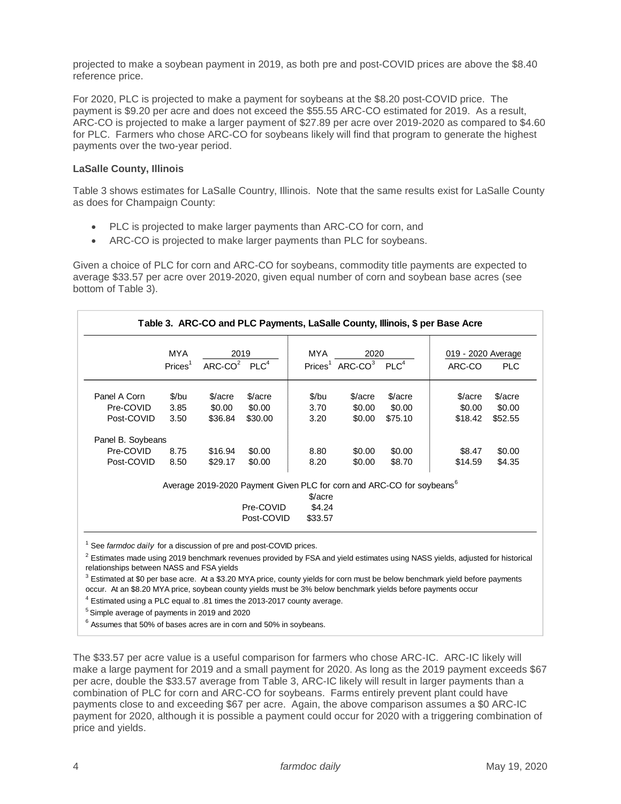projected to make a soybean payment in 2019, as both pre and post-COVID prices are above the \$8.40 reference price.

For 2020, PLC is projected to make a payment for soybeans at the \$8.20 post-COVID price. The payment is \$9.20 per acre and does not exceed the \$55.55 ARC-CO estimated for 2019. As a result, ARC-CO is projected to make a larger payment of \$27.89 per acre over 2019-2020 as compared to \$4.60 for PLC. Farmers who chose ARC-CO for soybeans likely will find that program to generate the highest payments over the two-year period.

## **LaSalle County, Illinois**

Table 3 shows estimates for LaSalle Country, Illinois. Note that the same results exist for LaSalle County as does for Champaign County:

- PLC is projected to make larger payments than ARC-CO for corn, and
- ARC-CO is projected to make larger payments than PLC for soybeans.

Given a choice of PLC for corn and ARC-CO for soybeans, commodity title payments are expected to average \$33.57 per acre over 2019-2020, given equal number of corn and soybean base acres (see bottom of Table 3).

|                   | MYA                | 2019           |         | MYA                | 2020          |                                                                                   | 019 - 2020 Average |            |
|-------------------|--------------------|----------------|---------|--------------------|---------------|-----------------------------------------------------------------------------------|--------------------|------------|
|                   | Price <sub>1</sub> | $ARC-CO2 PLC4$ |         | Price <sub>1</sub> | $ARC$ - $CO3$ | PLC <sup>4</sup>                                                                  | ARC-CO             | <b>PLC</b> |
| Panel A Corn      | $$$ /bu            | $\frac{2}{2}$  | \$/acre | \$/bu              | \$/acre       | \$/acre                                                                           | \$/acre            | \$/acre    |
| Pre-COVID         | 3.85               | \$0.00         | \$0.00  | 3.70               | \$0.00        | \$0.00                                                                            | \$0.00             | \$0.00     |
| Post-COVID        | 3.50               | \$36.84        | \$30.00 | 3.20               | \$0.00        | \$75.10                                                                           | \$18.42            | \$52.55    |
| Panel B. Soybeans |                    |                |         |                    |               |                                                                                   |                    |            |
| Pre-COVID         | 8.75               | \$16.94        | \$0.00  | 8.80               | \$0.00        | \$0.00                                                                            | \$8.47             | \$0.00     |
| Post-COVID        | 8.50               | \$29.17        | \$0.00  | 8.20               | \$0.00        | \$8.70                                                                            | \$14.59            | \$4.35     |
|                   |                    |                |         |                    |               | Average 2019-2020 Payment Given PLC for corn and ARC-CO for soybeans <sup>6</sup> |                    |            |

<sup>1</sup> See *farmdoc daily* for a discussion of pre and post-COVID prices.

 $^2$  Estimates made using 2019 benchmark revenues provided by FSA and yield estimates using NASS yields, adjusted for historical relationships between NASS and FSA yields

 $3$  Estimated at \$0 per base acre. At a \$3.20 MYA price, county yields for corn must be below benchmark yield before payments occur. At an \$8.20 MYA price, soybean county yields must be 3% below benchmark yields before payments occur

<sup>4</sup> Estimated using a PLC equal to .81 times the 2013-2017 county average.

<sup>5</sup> Simple average of payments in 2019 and 2020

 $^6$  Assumes that 50% of bases acres are in corn and 50% in soybeans.

The \$33.57 per acre value is a useful comparison for farmers who chose ARC-IC. ARC-IC likely will make a large payment for 2019 and a small payment for 2020. As long as the 2019 payment exceeds \$67 per acre, double the \$33.57 average from Table 3, ARC-IC likely will result in larger payments than a combination of PLC for corn and ARC-CO for soybeans. Farms entirely prevent plant could have payments close to and exceeding \$67 per acre. Again, the above comparison assumes a \$0 ARC-IC payment for 2020, although it is possible a payment could occur for 2020 with a triggering combination of price and yields.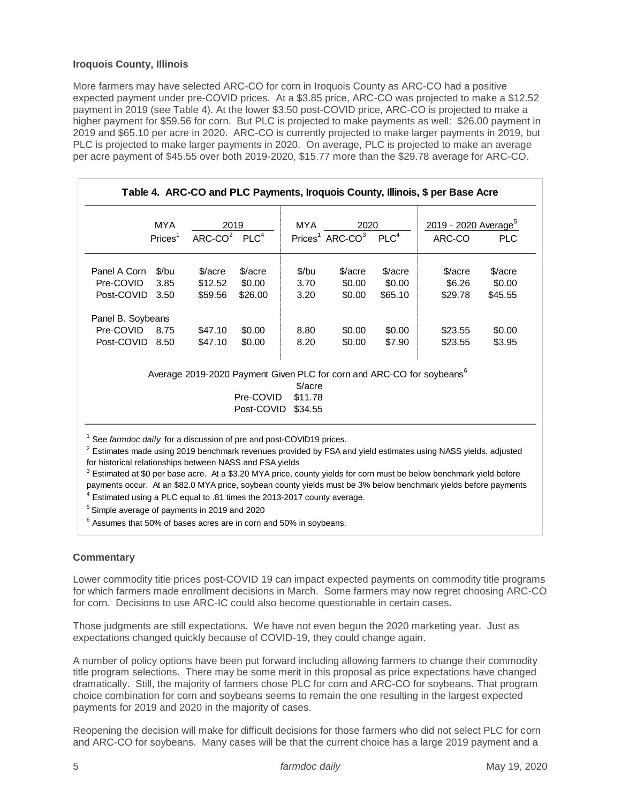## **Iroquois County, Illinois**

More farmers may have selected ARC-CO for corn in Iroquois County as ARC-CO had a positive expected payment under pre-COVID prices. At a \$3.85 price, ARC-CO was projected to make a \$12.52 payment in 2019 (see Table 4). At the lower \$3.50 post-COVID price, ARC-CO is projected to make a higher payment for \$59.56 for corn. But PLC is projected to make payments as well: \$26.00 payment in 2019 and \$65.10 per acre in 2020. ARC-CO is currently projected to make larger payments in 2019, but PLC is projected to make larger payments in 2020. On average, PLC is projected to make an average per acre payment of \$45.55 over both 2019-2020, \$15.77 more than the \$29.78 average for ARC-CO.

| Panel A Corn<br>Pre-COVID<br>Post-COVID<br>Panel B. Soybeans<br>Pre-COVID<br>Post-COVID 8.50                                     | Price <sub>1</sub><br>\$/bu<br>3.85<br>3.50 | $ARC$ - $CO2$ PLC <sup>4</sup><br>\$/acre<br>\$12.52<br>\$59.56 | \$/acre<br>\$0.00<br>\$26.00                                                       | \$/bu<br>3.70 | Prices <sup>1</sup> ARC-CO <sup>3</sup><br>\$/acre<br>\$0.00 | PLC <sup>4</sup><br>\$/acre<br>\$0.00 | ARC-CO<br>\$/acre<br>\$6.26                                                                                                                                                                            | <b>PLC</b><br>\$/acre |
|----------------------------------------------------------------------------------------------------------------------------------|---------------------------------------------|-----------------------------------------------------------------|------------------------------------------------------------------------------------|---------------|--------------------------------------------------------------|---------------------------------------|--------------------------------------------------------------------------------------------------------------------------------------------------------------------------------------------------------|-----------------------|
|                                                                                                                                  |                                             |                                                                 |                                                                                    |               |                                                              |                                       |                                                                                                                                                                                                        |                       |
|                                                                                                                                  |                                             |                                                                 |                                                                                    |               |                                                              |                                       |                                                                                                                                                                                                        |                       |
|                                                                                                                                  |                                             |                                                                 |                                                                                    |               |                                                              |                                       |                                                                                                                                                                                                        | \$0.00                |
|                                                                                                                                  |                                             |                                                                 |                                                                                    | 3.20          | \$0.00                                                       | \$65.10                               | \$29.78                                                                                                                                                                                                | \$45.55               |
|                                                                                                                                  |                                             |                                                                 |                                                                                    |               |                                                              |                                       |                                                                                                                                                                                                        |                       |
|                                                                                                                                  | 8.75                                        | \$47.10                                                         | \$0.00                                                                             | 8.80          | \$0.00                                                       | \$0.00                                | \$23.55                                                                                                                                                                                                | \$0.00                |
|                                                                                                                                  |                                             | \$47.10                                                         | \$0.00                                                                             | 8.20          | \$0.00                                                       | \$7.90                                | \$23.55                                                                                                                                                                                                | \$3.95                |
|                                                                                                                                  |                                             |                                                                 | Average 2019-2020 Payment Given PLC for corn and ARC-CO for soybeans <sup>6</sup>  | \$/acre       |                                                              |                                       |                                                                                                                                                                                                        |                       |
|                                                                                                                                  |                                             |                                                                 | Pre-COVID                                                                          | \$11.78       |                                                              |                                       |                                                                                                                                                                                                        |                       |
|                                                                                                                                  |                                             |                                                                 | Post-COVID                                                                         | \$34.55       |                                                              |                                       |                                                                                                                                                                                                        |                       |
| <sup>5</sup> Simple average of payments in 2019 and 2020<br>$6$ Assumes that 50% of bases acres are in corn and 50% in soybeans. |                                             |                                                                 |                                                                                    |               |                                                              |                                       |                                                                                                                                                                                                        |                       |
| <b>Commentary</b>                                                                                                                |                                             |                                                                 | for corn. Decisions to use ARC-IC could also become questionable in certain cases. |               |                                                              |                                       | Lower commodity title prices post-COVID 19 can impact expected payments on commodity title program<br>for which farmers made enrollment decisions in March. Some farmers may now regret choosing ARC-C |                       |
|                                                                                                                                  |                                             |                                                                 |                                                                                    |               |                                                              |                                       | Those judgments are still expectations. We have not even begun the 2020 marketing year. Just as                                                                                                        |                       |
| expectations changed quickly because of COVID-19, they could change again.                                                       |                                             |                                                                 |                                                                                    |               |                                                              |                                       |                                                                                                                                                                                                        |                       |

### **Commentary**